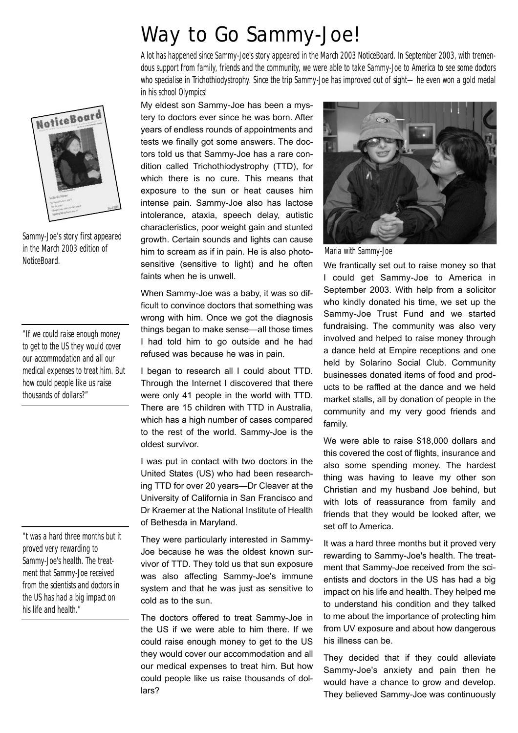## **Way to Go Sammy-Joe!**

A lot has happened since Sammy-Joe's story appeared in the March 2003 NoticeBoard. In September 2003, with tremendous support from family, friends and the community, we were able to take Sammy-Joe to America to see some doctors who specialise in Trichothiodystrophy. Since the trip Sammy-Joe has improved out of sight—he even won a gold medal in his school Olympics!

My eldest son Sammy-Joe has been a mystery to doctors ever since he was born. After years of endless rounds of appointments and tests we finally got some answers. The doctors told us that Sammy-Joe has a rare condition called Trichothiodystrophy (TTD), for which there is no cure. This means that exposure to the sun or heat causes him intense pain. Sammy-Joe also has lactose intolerance, ataxia, speech delay, autistic characteristics, poor weight gain and stunted growth. Certain sounds and lights can cause him to scream as if in pain. He is also photosensitive (sensitive to light) and he often faints when he is unwell.

When Sammy-Joe was a baby, it was so difficult to convince doctors that something was wrong with him. Once we got the diagnosis things began to make sense—all those times I had told him to go outside and he had refused was because he was in pain.

I began to research all I could about TTD. Through the Internet I discovered that there were only 41 people in the world with TTD. There are 15 children with TTD in Australia, which has a high number of cases compared to the rest of the world. Sammy-Joe is the oldest survivor.

I was put in contact with two doctors in the United States (US) who had been researching TTD for over 20 years—Dr Cleaver at the University of California in San Francisco and Dr Kraemer at the National Institute of Health of Bethesda in Maryland.

They were particularly interested in Sammy-Joe because he was the oldest known survivor of TTD. They told us that sun exposure was also affecting Sammy-Joe's immune system and that he was just as sensitive to cold as to the sun.

The doctors offered to treat Sammy-Joe in the US if we were able to him there. If we could raise enough money to get to the US they would cover our accommodation and all our medical expenses to treat him. But how could people like us raise thousands of dollars?



Maria with Sammy-Joe

We frantically set out to raise money so that I could get Sammy-Joe to America in September 2003. With help from a solicitor who kindly donated his time, we set up the Sammy-Joe Trust Fund and we started fundraising. The community was also very involved and helped to raise money through a dance held at Empire receptions and one held by Solarino Social Club. Community businesses donated items of food and products to be raffled at the dance and we held market stalls, all by donation of people in the community and my very good friends and family.

We were able to raise \$18,000 dollars and this covered the cost of flights, insurance and also some spending money. The hardest thing was having to leave my other son Christian and my husband Joe behind, but with lots of reassurance from family and friends that they would be looked after, we set off to America.

It was a hard three months but it proved very rewarding to Sammy-Joe's health. The treatment that Sammy-Joe received from the scientists and doctors in the US has had a big impact on his life and health. They helped me to understand his condition and they talked to me about the importance of protecting him from UV exposure and about how dangerous his illness can be.

They decided that if they could alleviate Sammy-Joe's anxiety and pain then he would have a chance to grow and develop. They believed Sammy-Joe was continuously



Sammy-Joe's story first appeared in the March 2003 edition of NoticeBoard.

"If we could raise enough money to get to the US they would cover our accommodation and all our medical expenses to treat him. But how could people like us raise thousands of dollars?"

"t was a hard three months but it proved very rewarding to Sammy-Joe's health. The treatment that Sammy-Joe received from the scientists and doctors in the US has had a big impact on his life and health."